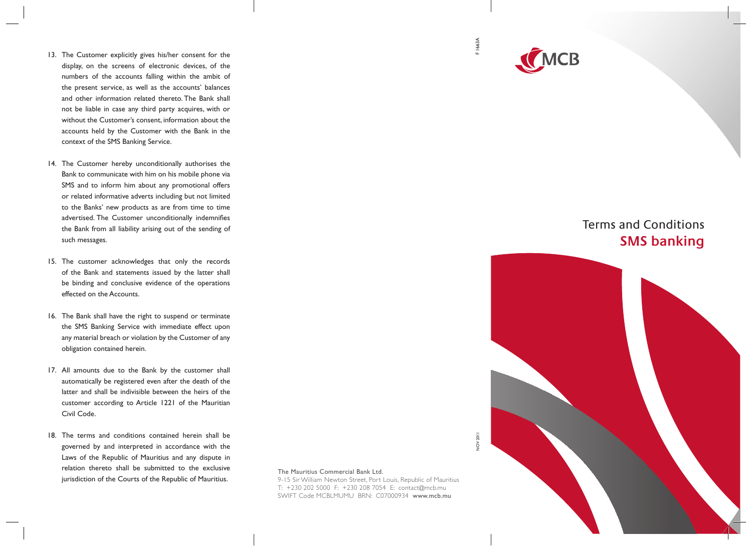- 13. The Customer explicitly gives his/her consent for the display, on the screens of electronic devices, of the numbers of the accounts falling within the ambit of the present service, as well as the accounts' balances and other information related thereto. The Bank shall not be liable in case any third party acquires, with or without the Customer's consent, information about the accounts held by the Customer with the Bank in the context of the SMS Banking Service.
- 14. The Customer hereby unconditionally authorises the Bank to communicate with him on his mobile phone via SMS and to inform him about any promotional offers or related informative adverts including but not limited to the Banks' new products as are from time to time advertised. The Customer unconditionally indemnifies the Bank from all liability arising out of the sending of such messages.
- 15. The customer acknowledges that only the records of the Bank and statements issued by the latter shall be binding and conclusive evidence of the operations effected on the Accounts.
- 16. The Bank shall have the right to suspend or terminate the SMS Banking Service with immediate effect upon any material breach or violation by the Customer of any obligation contained herein.
- 17. All amounts due to the Bank by the customer shall automatically be registered even after the death of the latter and shall be indivisible between the heirs of the customer according to Article 1221 of the Mauritian Civil Code.
- 18. The terms and conditions contained herein shall be governed by and interpreted in accordance with the Laws of the Republic of Mauritius and any dispute in relation thereto shall be submitted to the exclusive jurisdiction of the Courts of the Republic of Mauritius.

F 1663A



## Terms and Conditions **SMS banking**



The Mauritius Commercial Bank Ltd.

9-15 Sir William Newton Street, Port Louis, Republic of Mauritius T: +230 202 5000 F: +230 208 7054 E: contact@mcb.mu SWIFT Code MCBLMUMU BRN: C07000934 www.mcb.mu